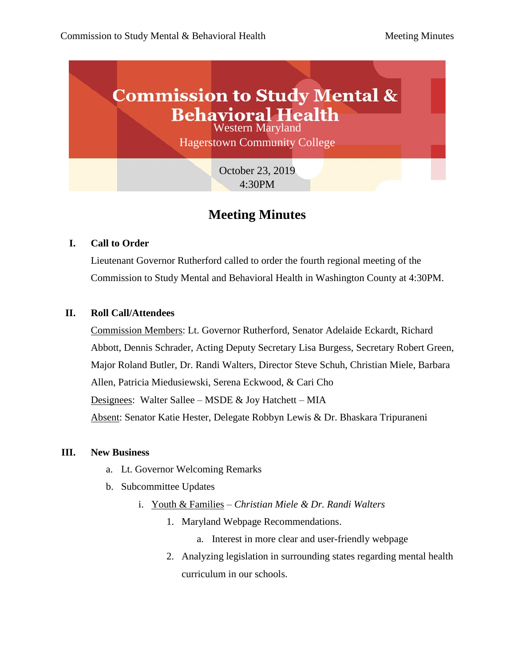

# **Meeting Minutes**

#### **I. Call to Order**

Lieutenant Governor Rutherford called to order the fourth regional meeting of the Commission to Study Mental and Behavioral Health in Washington County at 4:30PM.

#### **II. Roll Call/Attendees**

Commission Members: Lt. Governor Rutherford, Senator Adelaide Eckardt, Richard Abbott, Dennis Schrader, Acting Deputy Secretary Lisa Burgess, Secretary Robert Green, Major Roland Butler, Dr. Randi Walters, Director Steve Schuh, Christian Miele, Barbara Allen, Patricia Miedusiewski, Serena Eckwood, & Cari Cho Designees: Walter Sallee – MSDE  $&$  Joy Hatchett – MIA Absent: Senator Katie Hester, Delegate Robbyn Lewis & Dr. Bhaskara Tripuraneni

#### **III. New Business**

- a. Lt. Governor Welcoming Remarks
- b. Subcommittee Updates
	- i. Youth & Families *Christian Miele & Dr. Randi Walters*
		- 1. Maryland Webpage Recommendations.
			- a. Interest in more clear and user-friendly webpage
		- 2. Analyzing legislation in surrounding states regarding mental health curriculum in our schools.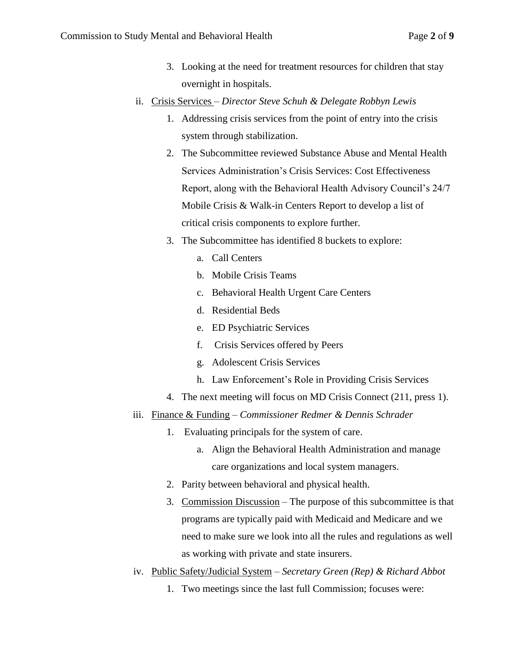- 3. Looking at the need for treatment resources for children that stay overnight in hospitals.
- ii. Crisis Services *– Director Steve Schuh & Delegate Robbyn Lewis*
	- 1. Addressing crisis services from the point of entry into the crisis system through stabilization.
	- 2. The Subcommittee reviewed Substance Abuse and Mental Health Services Administration's Crisis Services: Cost Effectiveness Report, along with the Behavioral Health Advisory Council's 24/7 Mobile Crisis & Walk-in Centers Report to develop a list of critical crisis components to explore further.
	- 3. The Subcommittee has identified 8 buckets to explore:
		- a. Call Centers
		- b. Mobile Crisis Teams
		- c. Behavioral Health Urgent Care Centers
		- d. Residential Beds
		- e. ED Psychiatric Services
		- f. Crisis Services offered by Peers
		- g. Adolescent Crisis Services
		- h. Law Enforcement's Role in Providing Crisis Services
	- 4. The next meeting will focus on MD Crisis Connect (211, press 1).
- iii. Finance & Funding *Commissioner Redmer & Dennis Schrader*
	- 1. Evaluating principals for the system of care.
		- a. Align the Behavioral Health Administration and manage care organizations and local system managers.
	- 2. Parity between behavioral and physical health.
	- 3. Commission Discussion The purpose of this subcommittee is that programs are typically paid with Medicaid and Medicare and we need to make sure we look into all the rules and regulations as well as working with private and state insurers.
- iv. Public Safety/Judicial System *Secretary Green (Rep) & Richard Abbot*
	- 1. Two meetings since the last full Commission; focuses were: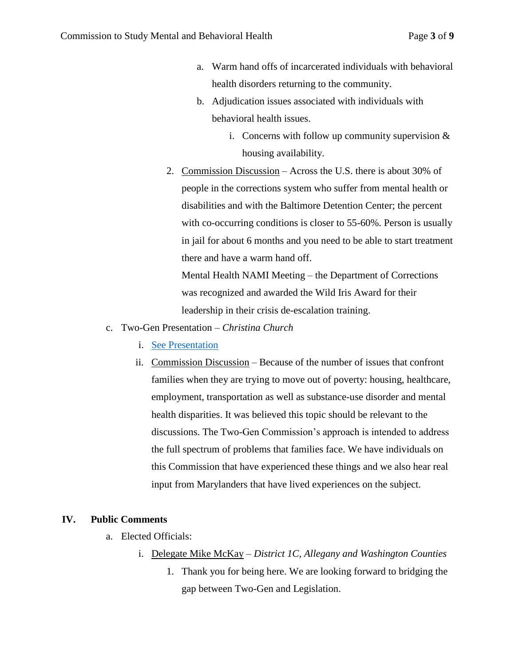- a. Warm hand offs of incarcerated individuals with behavioral health disorders returning to the community.
- b. Adjudication issues associated with individuals with behavioral health issues.
	- i. Concerns with follow up community supervision  $\&$ housing availability.
- 2. Commission Discussion Across the U.S. there is about 30% of people in the corrections system who suffer from mental health or disabilities and with the Baltimore Detention Center; the percent with co-occurring conditions is closer to 55-60%. Person is usually in jail for about 6 months and you need to be able to start treatment there and have a warm hand off.

Mental Health NAMI Meeting – the Department of Corrections was recognized and awarded the Wild Iris Award for their leadership in their crisis de-escalation training.

- c. Two-Gen Presentation *Christina Church*
	- i. [See Presentation](https://governor.maryland.gov/ltgovernor/wp-content/uploads/sites/2/2019/12/2019-10-23-Two-Gen-presentation-to-MBH-.pdf)
	- ii. Commission Discussion Because of the number of issues that confront families when they are trying to move out of poverty: housing, healthcare, employment, transportation as well as substance-use disorder and mental health disparities. It was believed this topic should be relevant to the discussions. The Two-Gen Commission's approach is intended to address the full spectrum of problems that families face. We have individuals on this Commission that have experienced these things and we also hear real input from Marylanders that have lived experiences on the subject.

#### **IV. Public Comments**

- a. Elected Officials:
	- i. Delegate Mike McKay *District 1C, Allegany and Washington Counties*
		- 1. Thank you for being here. We are looking forward to bridging the gap between Two-Gen and Legislation.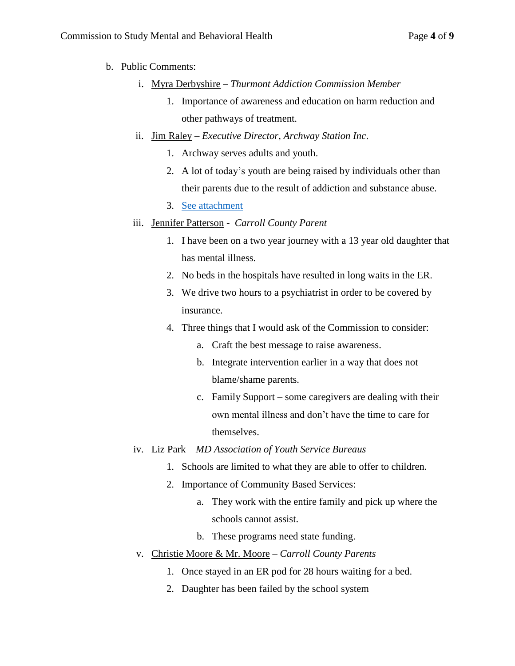- b. Public Comments:
	- i. Myra Derbyshire *Thurmont Addiction Commission Member*
		- 1. Importance of awareness and education on harm reduction and other pathways of treatment.
	- ii. Jim Raley *Executive Director, Archway Station Inc*.
		- 1. Archway serves adults and youth.
		- 2. A lot of today's youth are being raised by individuals other than their parents due to the result of addiction and substance abuse.
		- 3. [See attachment](https://governor.maryland.gov/ltgovernor/wp-content/uploads/sites/2/2019/12/Jim-Raley-Archway-Testimony.pdf)
	- iii. Jennifer Patterson *Carroll County Parent*
		- 1. I have been on a two year journey with a 13 year old daughter that has mental illness.
		- 2. No beds in the hospitals have resulted in long waits in the ER.
		- 3. We drive two hours to a psychiatrist in order to be covered by insurance.
		- 4. Three things that I would ask of the Commission to consider:
			- a. Craft the best message to raise awareness.
			- b. Integrate intervention earlier in a way that does not blame/shame parents.
			- c. Family Support some caregivers are dealing with their own mental illness and don't have the time to care for themselves.
	- iv. Liz Park *MD Association of Youth Service Bureaus*
		- 1. Schools are limited to what they are able to offer to children.
		- 2. Importance of Community Based Services:
			- a. They work with the entire family and pick up where the schools cannot assist.
			- b. These programs need state funding.
	- v. Christie Moore & Mr. Moore *Carroll County Parents*
		- 1. Once stayed in an ER pod for 28 hours waiting for a bed.
		- 2. Daughter has been failed by the school system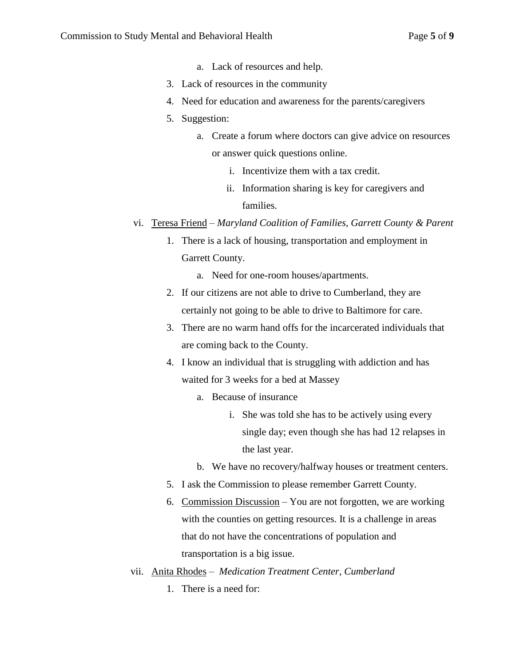- a. Lack of resources and help.
- 3. Lack of resources in the community
- 4. Need for education and awareness for the parents/caregivers
- 5. Suggestion:
	- a. Create a forum where doctors can give advice on resources or answer quick questions online.
		- i. Incentivize them with a tax credit.
		- ii. Information sharing is key for caregivers and families.
- vi. Teresa Friend *Maryland Coalition of Families, Garrett County & Parent*
	- 1. There is a lack of housing, transportation and employment in Garrett County.
		- a. Need for one-room houses/apartments.
	- 2. If our citizens are not able to drive to Cumberland, they are certainly not going to be able to drive to Baltimore for care.
	- 3. There are no warm hand offs for the incarcerated individuals that are coming back to the County.
	- 4. I know an individual that is struggling with addiction and has waited for 3 weeks for a bed at Massey
		- a. Because of insurance
			- i. She was told she has to be actively using every single day; even though she has had 12 relapses in the last year.
		- b. We have no recovery/halfway houses or treatment centers.
	- 5. I ask the Commission to please remember Garrett County.
	- 6. Commission Discussion You are not forgotten, we are working with the counties on getting resources. It is a challenge in areas that do not have the concentrations of population and transportation is a big issue.
- vii. Anita Rhodes  *Medication Treatment Center, Cumberland*
	- 1. There is a need for: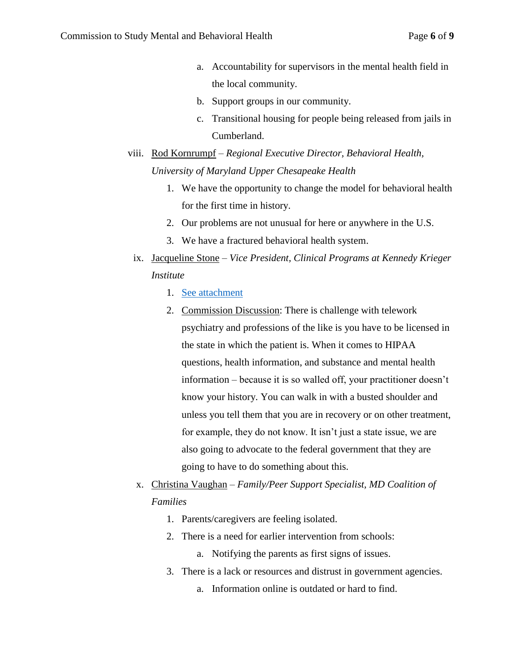- a. Accountability for supervisors in the mental health field in the local community.
- b. Support groups in our community.
- c. Transitional housing for people being released from jails in Cumberland.
- viii. Rod Kornrumpf *Regional Executive Director, Behavioral Health, University of Maryland Upper Chesapeake Health*
	- 1. We have the opportunity to change the model for behavioral health for the first time in history.
	- 2. Our problems are not unusual for here or anywhere in the U.S.
	- 3. We have a fractured behavioral health system.
- ix. Jacqueline Stone *Vice President, Clinical Programs at Kennedy Krieger Institute*
	- 1. [See attachment](https://governor.maryland.gov/ltgovernor/wp-content/uploads/sites/2/2019/12/Jacqueline-Stone-Kennedy-Krieger-Overview-Statement.pdf)
	- 2. Commission Discussion: There is challenge with telework psychiatry and professions of the like is you have to be licensed in the state in which the patient is. When it comes to HIPAA questions, health information, and substance and mental health information – because it is so walled off, your practitioner doesn't know your history. You can walk in with a busted shoulder and unless you tell them that you are in recovery or on other treatment, for example, they do not know. It isn't just a state issue, we are also going to advocate to the federal government that they are going to have to do something about this.
- x. Christina Vaughan *Family/Peer Support Specialist, MD Coalition of Families*
	- 1. Parents/caregivers are feeling isolated.
	- 2. There is a need for earlier intervention from schools:
		- a. Notifying the parents as first signs of issues.
	- 3. There is a lack or resources and distrust in government agencies.
		- a. Information online is outdated or hard to find.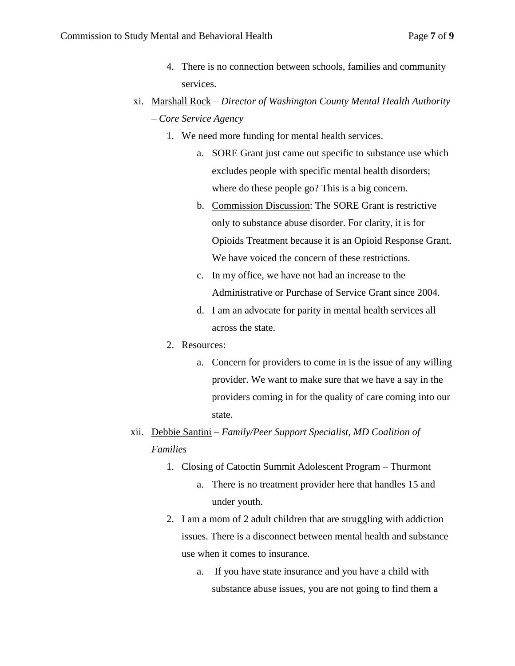- 4. There is no connection between schools, families and community services.
- xi. Marshall Rock *Director of Washington County Mental Health Authority – Core Service Agency*
	- 1. We need more funding for mental health services.
		- a. SORE Grant just came out specific to substance use which excludes people with specific mental health disorders; where do these people go? This is a big concern.
		- b. Commission Discussion: The SORE Grant is restrictive only to substance abuse disorder. For clarity, it is for Opioids Treatment because it is an Opioid Response Grant. We have voiced the concern of these restrictions.
		- c. In my office, we have not had an increase to the Administrative or Purchase of Service Grant since 2004.
		- d. I am an advocate for parity in mental health services all across the state.
	- 2. Resources:
		- a. Concern for providers to come in is the issue of any willing provider. We want to make sure that we have a say in the providers coming in for the quality of care coming into our state.
- xii. Debbie Santini *Family/Peer Support Specialist, MD Coalition of Families*
	- 1. Closing of Catoctin Summit Adolescent Program Thurmont
		- a. There is no treatment provider here that handles 15 and under youth.
	- 2. I am a mom of 2 adult children that are struggling with addiction issues. There is a disconnect between mental health and substance use when it comes to insurance.
		- a. If you have state insurance and you have a child with substance abuse issues, you are not going to find them a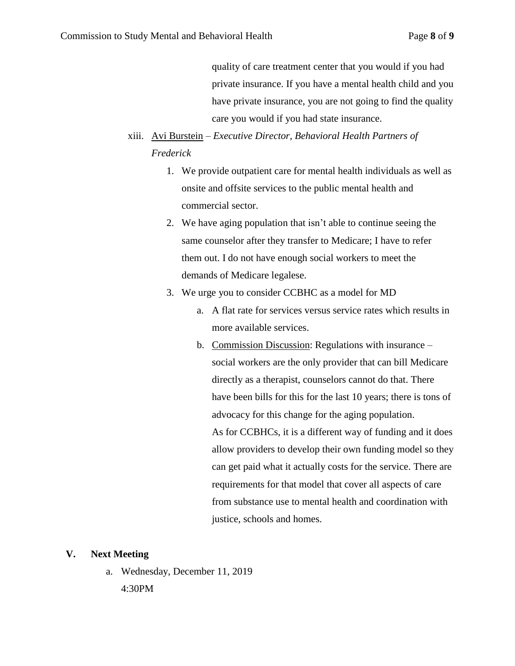quality of care treatment center that you would if you had private insurance. If you have a mental health child and you have private insurance, you are not going to find the quality care you would if you had state insurance.

## xiii. Avi Burstein – *Executive Director, Behavioral Health Partners of Frederick*

- 1. We provide outpatient care for mental health individuals as well as onsite and offsite services to the public mental health and commercial sector.
- 2. We have aging population that isn't able to continue seeing the same counselor after they transfer to Medicare; I have to refer them out. I do not have enough social workers to meet the demands of Medicare legalese.
- 3. We urge you to consider CCBHC as a model for MD
	- a. A flat rate for services versus service rates which results in more available services.
	- b. Commission Discussion: Regulations with insurance social workers are the only provider that can bill Medicare directly as a therapist, counselors cannot do that. There have been bills for this for the last 10 years; there is tons of advocacy for this change for the aging population. As for CCBHCs, it is a different way of funding and it does allow providers to develop their own funding model so they can get paid what it actually costs for the service. There are requirements for that model that cover all aspects of care from substance use to mental health and coordination with justice, schools and homes.

#### **V. Next Meeting**

a. Wednesday, December 11, 2019

4:30PM